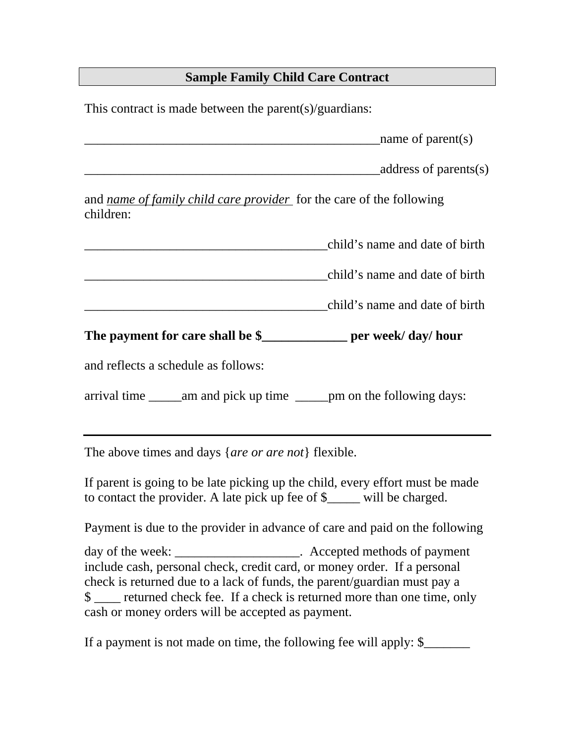# **Sample Family Child Care Contract**

This contract is made between the parent(s)/guardians:

 $\blacksquare$   $\blacksquare$   $\blacksquare$   $\blacksquare$   $\blacksquare$   $\blacksquare$   $\blacksquare$   $\blacksquare$   $\blacksquare$   $\blacksquare$   $\blacksquare$   $\blacksquare$   $\blacksquare$   $\blacksquare$   $\blacksquare$   $\blacksquare$   $\blacksquare$   $\blacksquare$   $\blacksquare$   $\blacksquare$   $\blacksquare$   $\blacksquare$   $\blacksquare$   $\blacksquare$   $\blacksquare$   $\blacksquare$   $\blacksquare$   $\blacksquare$   $\blacksquare$   $\blacksquare$   $\blacksquare$   $\blacks$ 

 $address\ of\ parents(s)$ 

and *name of family child care provider* for the care of the following children:

| child's name and date of birth |
|--------------------------------|
| child's name and date of birth |

\_\_\_\_\_\_\_\_\_\_\_\_\_\_\_\_\_\_\_\_\_\_\_\_\_\_\_\_\_\_\_\_\_\_\_\_\_child's name and date of birth

The payment for care shall be \$ per week/ day/ hour

and reflects a schedule as follows:

arrival time \_\_\_\_\_am and pick up time \_\_\_\_\_pm on the following days:

The above times and days {*are or are not*} flexible.

If parent is going to be late picking up the child, every effort must be made to contact the provider. A late pick up fee of \$\_\_\_\_\_ will be charged.

Payment is due to the provider in advance of care and paid on the following

day of the week: \_\_\_\_\_\_\_\_\_\_\_\_\_\_\_\_\_\_\_\_. Accepted methods of payment include cash, personal check, credit card, or money order. If a personal check is returned due to a lack of funds, the parent/guardian must pay a \$ returned check fee. If a check is returned more than one time, only cash or money orders will be accepted as payment.

If a payment is not made on time, the following fee will apply: \$\_\_\_\_\_\_\_\_\_\_\_\_\_\_\_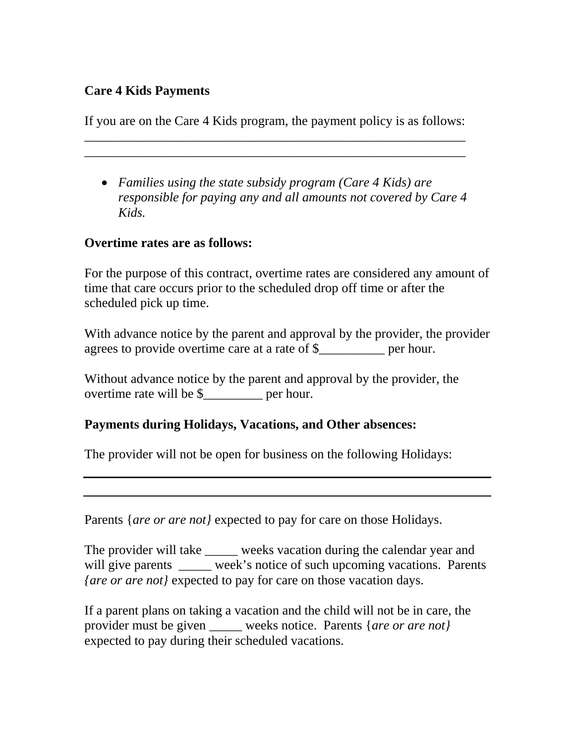### **Care 4 Kids Payments**

If you are on the Care 4 Kids program, the payment policy is as follows: \_\_\_\_\_\_\_\_\_\_\_\_\_\_\_\_\_\_\_\_\_\_\_\_\_\_\_\_\_\_\_\_\_\_\_\_\_\_\_\_\_\_\_\_\_\_\_\_\_\_\_\_\_\_\_\_\_\_

\_\_\_\_\_\_\_\_\_\_\_\_\_\_\_\_\_\_\_\_\_\_\_\_\_\_\_\_\_\_\_\_\_\_\_\_\_\_\_\_\_\_\_\_\_\_\_\_\_\_\_\_\_\_\_\_\_\_

• *Families using the state subsidy program (Care 4 Kids) are responsible for paying any and all amounts not covered by Care 4 Kids.* 

#### **Overtime rates are as follows:**

For the purpose of this contract, overtime rates are considered any amount of time that care occurs prior to the scheduled drop off time or after the scheduled pick up time.

With advance notice by the parent and approval by the provider, the provider agrees to provide overtime care at a rate of \$\_\_\_\_\_\_\_\_\_\_ per hour.

Without advance notice by the parent and approval by the provider, the overtime rate will be \$\_\_\_\_\_\_\_\_\_ per hour.

#### **Payments during Holidays, Vacations, and Other absences:**

The provider will not be open for business on the following Holidays:

Parents {*are or are not}* expected to pay for care on those Holidays.

The provider will take \_\_\_\_\_ weeks vacation during the calendar year and will give parents \_\_\_\_\_ week's notice of such upcoming vacations. Parents *{are or are not}* expected to pay for care on those vacation days.

If a parent plans on taking a vacation and the child will not be in care, the provider must be given weeks notice. Parents {*are or are not*} expected to pay during their scheduled vacations.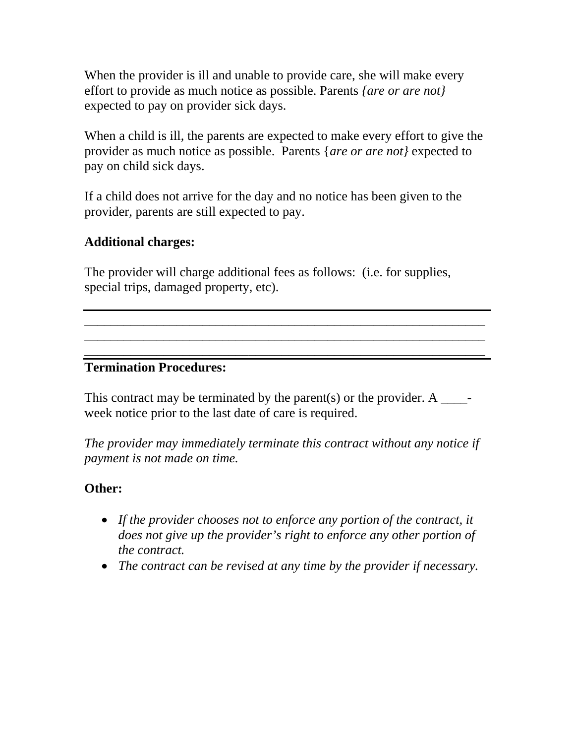When the provider is ill and unable to provide care, she will make every effort to provide as much notice as possible. Parents *{are or are not}*  expected to pay on provider sick days.

When a child is ill, the parents are expected to make every effort to give the provider as much notice as possible. Parents {*are or are not}* expected to pay on child sick days.

If a child does not arrive for the day and no notice has been given to the provider, parents are still expected to pay.

## **Additional charges:**

The provider will charge additional fees as follows: (i.e. for supplies, special trips, damaged property, etc).

#### **Termination Procedures:**

This contract may be terminated by the parent(s) or the provider. A  $\qquad$ week notice prior to the last date of care is required.

\_\_\_\_\_\_\_\_\_\_\_\_\_\_\_\_\_\_\_\_\_\_\_\_\_\_\_\_\_\_\_\_\_\_\_\_\_\_\_\_\_\_\_\_\_\_\_\_\_\_\_\_\_\_\_\_\_\_\_\_\_ \_\_\_\_\_\_\_\_\_\_\_\_\_\_\_\_\_\_\_\_\_\_\_\_\_\_\_\_\_\_\_\_\_\_\_\_\_\_\_\_\_\_\_\_\_\_\_\_\_\_\_\_\_\_\_\_\_\_\_\_\_

\_\_\_\_\_\_\_\_\_\_\_\_\_\_\_\_\_\_\_\_\_\_\_\_\_\_\_\_\_\_\_\_\_\_\_\_\_\_\_\_\_\_\_\_\_\_\_\_\_\_\_\_\_\_\_\_\_\_\_\_\_

*The provider may immediately terminate this contract without any notice if payment is not made on time.* 

## **Other:**

- *If the provider chooses not to enforce any portion of the contract, it does not give up the provider's right to enforce any other portion of the contract.*
- *The contract can be revised at any time by the provider if necessary.*